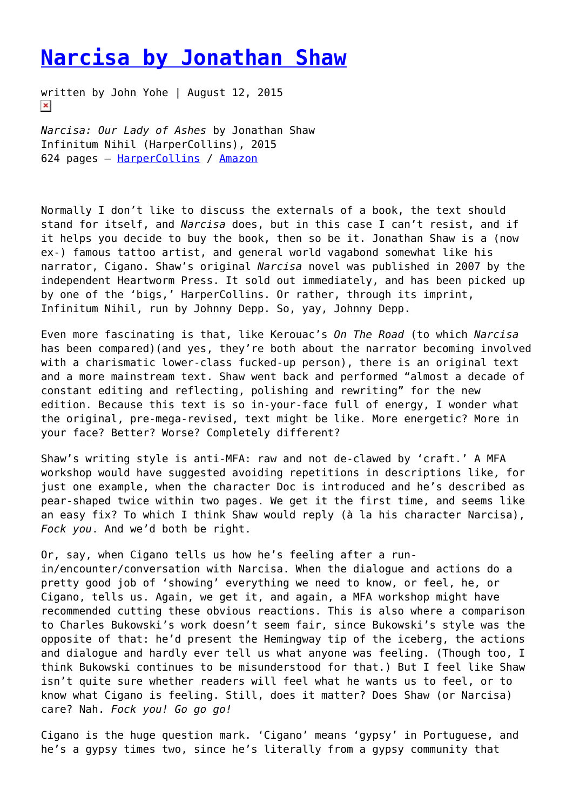## **[Narcisa by Jonathan Shaw](https://entropymag.org/narcisa-by-jonathan-shaw/)**

written by John Yohe | August 12, 2015  $\pmb{\times}$ 

*Narcisa: Our Lady of Ashes* by Jonathan Shaw Infinitum Nihil (HarperCollins), 2015 624 pages – [HarperCollins](http://www.harpercollins.com/9780062354990/narcisa) / [Amazon](http://www.amazon.com/Narcisa-Lady-Ashes-Jonathan-Shaw/dp/006235499X/ref=sr_1_1?ie=UTF8&qid=1438807342&sr=8-1&keywords=narcisa)

Normally I don't like to discuss the externals of a book, the text should stand for itself, and *Narcisa* does, but in this case I can't resist, and if it helps you decide to buy the book, then so be it. Jonathan Shaw is a (now ex-) famous tattoo artist, and general world vagabond somewhat like his narrator, Cigano. Shaw's original *Narcisa* novel was published in 2007 by the independent Heartworm Press. It sold out immediately, and has been picked up by one of the 'bigs,' HarperCollins. Or rather, through its imprint, Infinitum Nihil, run by Johnny Depp. So, yay, Johnny Depp.

Even more fascinating is that, like Kerouac's *On The Road* (to which *Narcisa* has been compared)(and yes, they're both about the narrator becoming involved with a charismatic lower-class fucked-up person), there is an original text and a more mainstream text. Shaw went back and performed "almost a decade of constant editing and reflecting, polishing and rewriting" for the new edition. Because this text is so in-your-face full of energy, I wonder what the original, pre-mega-revised, text might be like. More energetic? More in your face? Better? Worse? Completely different?

Shaw's writing style is anti-MFA: raw and not de-clawed by 'craft.' A MFA workshop would have suggested avoiding repetitions in descriptions like, for just one example, when the character Doc is introduced and he's described as pear-shaped twice within two pages. We get it the first time, and seems like an easy fix? To which I think Shaw would reply (à la his character Narcisa), *Fock you*. And we'd both be right.

Or, say, when Cigano tells us how he's feeling after a runin/encounter/conversation with Narcisa. When the dialogue and actions do a pretty good job of 'showing' everything we need to know, or feel, he, or Cigano, tells us. Again, we get it, and again, a MFA workshop might have recommended cutting these obvious reactions. This is also where a comparison to Charles Bukowski's work doesn't seem fair, since Bukowski's style was the opposite of that: he'd present the Hemingway tip of the iceberg, the actions and dialogue and hardly ever tell us what anyone was feeling. (Though too, I think Bukowski continues to be misunderstood for that.) But I feel like Shaw isn't quite sure whether readers will feel what he wants us to feel, or to know what Cigano is feeling. Still, does it matter? Does Shaw (or Narcisa) care? Nah. *Fock you! Go go go!*

Cigano is the huge question mark. 'Cigano' means 'gypsy' in Portuguese, and he's a gypsy times two, since he's literally from a gypsy community that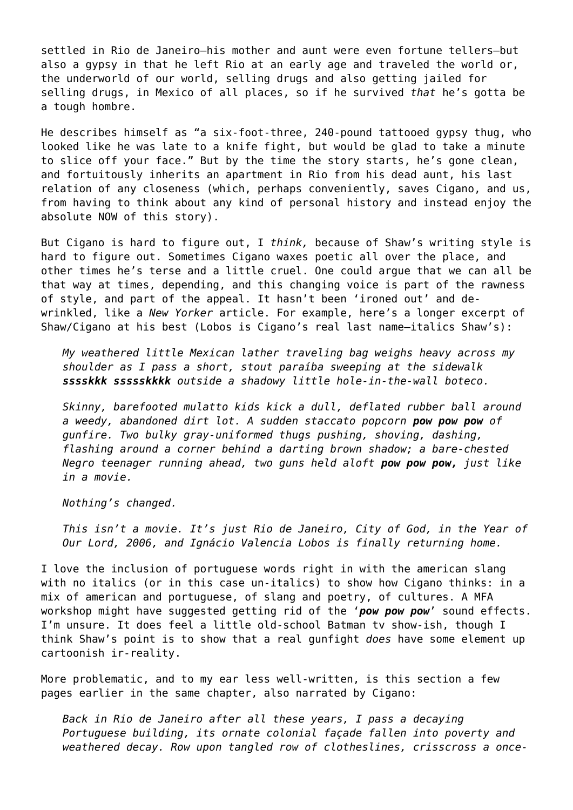settled in Rio de Janeiro—his mother and aunt were even fortune tellers—but also a gypsy in that he left Rio at an early age and traveled the world or, the underworld of our world, selling drugs and also getting jailed for selling drugs, in Mexico of all places, so if he survived *that* he's gotta be a tough hombre.

He describes himself as "a six-foot-three, 240-pound tattooed gypsy thug, who looked like he was late to a knife fight, but would be glad to take a minute to slice off your face." But by the time the story starts, he's gone clean, and fortuitously inherits an apartment in Rio from his dead aunt, his last relation of any closeness (which, perhaps conveniently, saves Cigano, and us, from having to think about any kind of personal history and instead enjoy the absolute NOW of this story).

But Cigano is hard to figure out, I *think,* because of Shaw's writing style is hard to figure out. Sometimes Cigano waxes poetic all over the place, and other times he's terse and a little cruel. One could argue that we can all be that way at times, depending, and this changing voice is part of the rawness of style, and part of the appeal. It hasn't been 'ironed out' and dewrinkled, like a *New Yorker* article. For example, here's a longer excerpt of Shaw/Cigano at his best (Lobos is Cigano's real last name—italics Shaw's):

*My weathered little Mexican lather traveling bag weighs heavy across my shoulder as I pass a short, stout paraíba sweeping at the sidewalk sssskkk ssssskkkk outside a shadowy little hole-in-the-wall boteco.*

*Skinny, barefooted mulatto kids kick a dull, deflated rubber ball around a weedy, abandoned dirt lot. A sudden staccato popcorn pow pow pow of gunfire. Two bulky gray-uniformed thugs pushing, shoving, dashing, flashing around a corner behind a darting brown shadow; a bare-chested Negro teenager running ahead, two guns held aloft pow pow pow, just like in a movie.*

*Nothing's changed.*

*This isn't a movie. It's just Rio de Janeiro, City of God, in the Year of Our Lord, 2006, and Ignácio Valencia Lobos is finally returning home.*

I love the inclusion of portuguese words right in with the american slang with no italics (or in this case un-italics) to show how Cigano thinks: in a mix of american and portuguese, of slang and poetry, of cultures. A MFA workshop might have suggested getting rid of the '*pow pow pow*' sound effects. I'm unsure. It does feel a little old-school Batman tv show-ish, though I think Shaw's point is to show that a real gunfight *does* have some element up cartoonish ir-reality.

More problematic, and to my ear less well-written, is this section a few pages earlier in the same chapter, also narrated by Cigano:

*Back in Rio de Janeiro after all these years, I pass a decaying Portuguese building, its ornate colonial façade fallen into poverty and weathered decay. Row upon tangled row of clotheslines, crisscross a once-*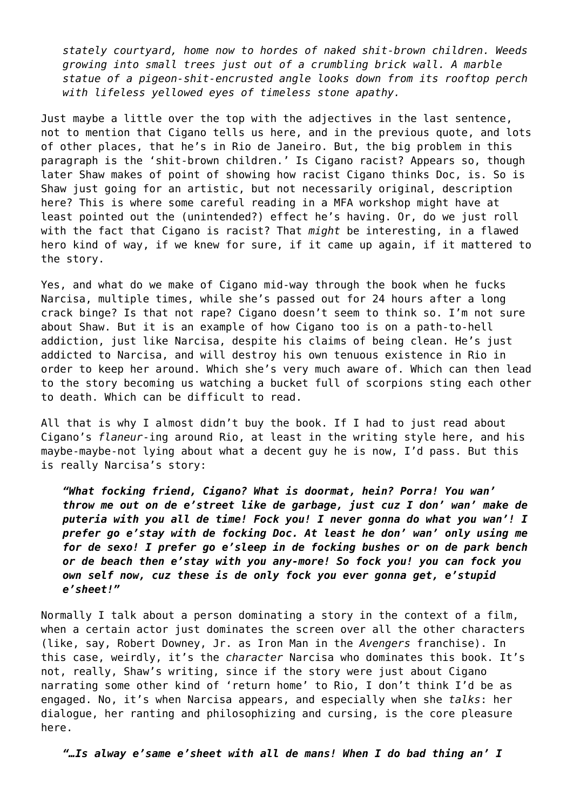*stately courtyard, home now to hordes of naked shit-brown children. Weeds growing into small trees just out of a crumbling brick wall. A marble statue of a pigeon-shit-encrusted angle looks down from its rooftop perch with lifeless yellowed eyes of timeless stone apathy.*

Just maybe a little over the top with the adjectives in the last sentence, not to mention that Cigano tells us here, and in the previous quote, and lots of other places, that he's in Rio de Janeiro. But, the big problem in this paragraph is the 'shit-brown children.' Is Cigano racist? Appears so, though later Shaw makes of point of showing how racist Cigano thinks Doc, is. So is Shaw just going for an artistic, but not necessarily original, description here? This is where some careful reading in a MFA workshop might have at least pointed out the (unintended?) effect he's having. Or, do we just roll with the fact that Cigano is racist? That *might* be interesting, in a flawed hero kind of way, if we knew for sure, if it came up again, if it mattered to the story.

Yes, and what do we make of Cigano mid-way through the book when he fucks Narcisa, multiple times, while she's passed out for 24 hours after a long crack binge? Is that not rape? Cigano doesn't seem to think so. I'm not sure about Shaw. But it is an example of how Cigano too is on a path-to-hell addiction, just like Narcisa, despite his claims of being clean. He's just addicted to Narcisa, and will destroy his own tenuous existence in Rio in order to keep her around. Which she's very much aware of. Which can then lead to the story becoming us watching a bucket full of scorpions sting each other to death. Which can be difficult to read.

All that is why I almost didn't buy the book. If I had to just read about Cigano's *flaneur*-ing around Rio, at least in the writing style here, and his maybe-maybe-not lying about what a decent guy he is now, I'd pass. But this is really Narcisa's story:

*"What focking friend, Cigano? What is doormat, hein? Porra! You wan' throw me out on de e'street like de garbage, just cuz I don' wan' make de puteria with you all de time! Fock you! I never gonna do what you wan'! I prefer go e'stay with de focking Doc. At least he don' wan' only using me for de sexo! I prefer go e'sleep in de focking bushes or on de park bench or de beach then e'stay with you any-more! So fock you! you can fock you own self now, cuz these is de only fock you ever gonna get, e'stupid e'sheet!"*

Normally I talk about a person dominating a story in the context of a film, when a certain actor just dominates the screen over all the other characters (like, say, Robert Downey, Jr. as Iron Man in the *Avengers* franchise). In this case, weirdly, it's the *character* Narcisa who dominates this book. It's not, really, Shaw's writing, since if the story were just about Cigano narrating some other kind of 'return home' to Rio, I don't think I'd be as engaged. No, it's when Narcisa appears, and especially when she *talks*: her dialogue, her ranting and philosophizing and cursing, is the core pleasure here.

*"…Is alway e'same e'sheet with all de mans! When I do bad thing an' I*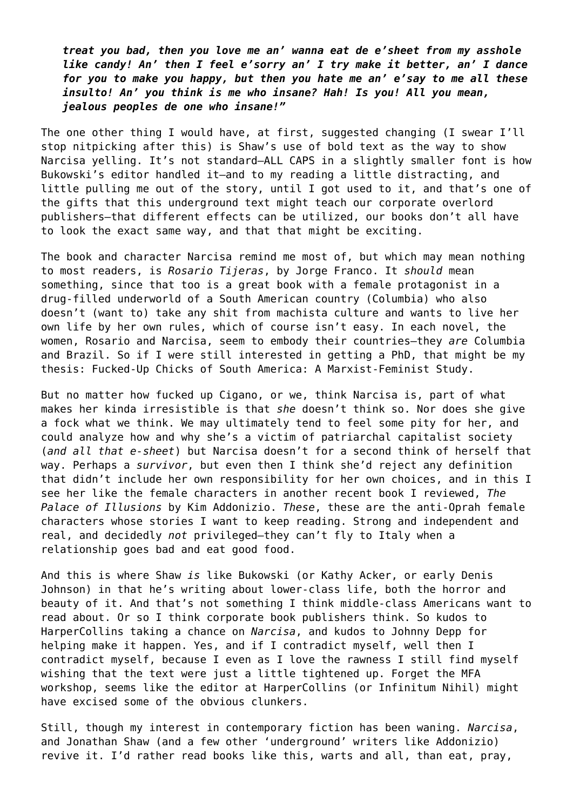*treat you bad, then you love me an' wanna eat de e'sheet from my asshole like candy! An' then I feel e'sorry an' I try make it better, an' I dance for you to make you happy, but then you hate me an' e'say to me all these insulto! An' you think is me who insane? Hah! Is you! All you mean, jealous peoples de one who insane!"*

The one other thing I would have, at first, suggested changing (I swear I'll stop nitpicking after this) is Shaw's use of bold text as the way to show Narcisa yelling. It's not standard—ALL CAPS in a slightly smaller font is how Bukowski's editor handled it—and to my reading a little distracting, and little pulling me out of the story, until I got used to it, and that's one of the gifts that this underground text might teach our corporate overlord publishers—that different effects can be utilized, our books don't all have to look the exact same way, and that that might be exciting.

The book and character Narcisa remind me most of, but which may mean nothing to most readers, is *Rosario Tijeras*, by Jorge Franco. It *should* mean something, since that too is a great book with a female protagonist in a drug-filled underworld of a South American country (Columbia) who also doesn't (want to) take any shit from machista culture and wants to live her own life by her own rules, which of course isn't easy. In each novel, the women, Rosario and Narcisa, seem to embody their countries—they *are* Columbia and Brazil. So if I were still interested in getting a PhD, that might be my thesis: Fucked-Up Chicks of South America: A Marxist-Feminist Study.

But no matter how fucked up Cigano, or we, think Narcisa is, part of what makes her kinda irresistible is that *she* doesn't think so. Nor does she give a fock what we think. We may ultimately tend to feel some pity for her, and could analyze how and why she's a victim of patriarchal capitalist society (*and all that e-sheet*) but Narcisa doesn't for a second think of herself that way. Perhaps a *survivor*, but even then I think she'd reject any definition that didn't include her own responsibility for her own choices, and in this I see her like the female characters in another recent book I reviewed, *The Palace of Illusions* by Kim Addonizio. *These*, these are the anti-Oprah female characters whose stories I want to keep reading. Strong and independent and real, and decidedly *not* privileged—they can't fly to Italy when a relationship goes bad and eat good food.

And this is where Shaw *is* like Bukowski (or Kathy Acker, or early Denis Johnson) in that he's writing about lower-class life, both the horror and beauty of it. And that's not something I think middle-class Americans want to read about. Or so I think corporate book publishers think. So kudos to HarperCollins taking a chance on *Narcisa*, and kudos to Johnny Depp for helping make it happen. Yes, and if I contradict myself, well then I contradict myself, because I even as I love the rawness I still find myself wishing that the text were just a little tightened up. Forget the MFA workshop, seems like the editor at HarperCollins (or Infinitum Nihil) might have excised some of the obvious clunkers.

Still, though my interest in contemporary fiction has been waning. *Narcisa*, and Jonathan Shaw (and a few other 'underground' writers like Addonizio) revive it. I'd rather read books like this, warts and all, than eat, pray,